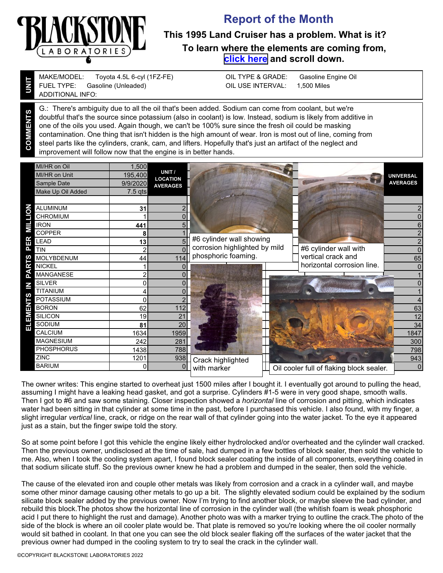

**UNIT**

**COMMENTS**

## **Report of the Month**

## **This 1995 Land Cruiser has a problem. What is it? To learn where the elements are coming from, [click here](https://www.blackstone-labs.com/wp-content/uploads/2019/01/Understanding-Engine-combined.pdf) and scroll down.**

Gasoline (Unleaded) Toyota 4.5L 6-cyl (1FZ-FE) MAKE/MODEL: FUEL TYPE: ADDITIONAL INFO:

Gasoline Engine Oil 1,500 Miles OIL TYPE & GRADE: OIL USE INTERVAL:

G.: There's ambiguity due to all the oil that's been added. Sodium can come from coolant, but we're doubtful that's the source since potassium (also in coolant) is low. Instead, sodium is likely from additive in one of the oils you used. Again though, we can't be 100% sure since the fresh oil could be masking contamination. One thing that isn't hidden is the high amount of wear. Iron is most out of line, coming from steel parts like the cylinders, crank, cam, and lifters. Hopefully that's just an artifact of the neglect and improvement will follow now that the engine is in better hands.

|     | MI/HR on Oil<br><b>MI/HR on Unit</b><br>Sample Date<br>Make Up Oil Added | 1,500<br>195,400<br>9/9/2020<br>$7.5$ qts | UNIT /<br><b>LOCATION</b><br><b>AVERAGES</b> |                               |                                          | <b>UNIVERSAL</b><br><b>AVERAGES</b> |
|-----|--------------------------------------------------------------------------|-------------------------------------------|----------------------------------------------|-------------------------------|------------------------------------------|-------------------------------------|
|     |                                                                          |                                           |                                              |                               |                                          |                                     |
| a   | <b>ALUMINUM</b>                                                          | 31                                        |                                              |                               |                                          |                                     |
|     | CHROMIUM                                                                 |                                           |                                              |                               |                                          | 0                                   |
| ≣   | <b>IRON</b>                                                              | 441                                       | 5                                            |                               |                                          | 6                                   |
|     | <b>COPPER</b>                                                            | 8                                         |                                              |                               |                                          | $\overline{2}$                      |
| 띥   | LEAD                                                                     | 13                                        | 5                                            | #6 cylinder wall showing      |                                          | $\overline{2}$                      |
| Δ.  | <b>TIN</b>                                                               |                                           |                                              | corrosion highlighted by mild | #6 cylinder wall with                    | 0                                   |
| ഗ   | MOLYBDENUM                                                               | 44                                        | 114                                          | phosphoric foaming.           | vertical crack and                       | 65                                  |
| ≃   | <b>NICKEL</b>                                                            |                                           |                                              |                               | horizontal corrosion line.               | $\Omega$                            |
|     | MANGANESE                                                                |                                           |                                              |                               |                                          |                                     |
|     | <b>SILVER</b>                                                            | $\mathbf 0$                               |                                              |                               |                                          | 0                                   |
| ഗ   | <b>TITANIUM</b>                                                          |                                           | $\Omega$                                     |                               |                                          |                                     |
|     | <b>POTASSIUM</b>                                                         | $\Omega$                                  |                                              |                               |                                          | 4                                   |
| ш   | <b>BORON</b>                                                             | 62                                        | 112                                          |                               |                                          | 63                                  |
| EMI | <b>SILICON</b>                                                           | 19                                        | 21                                           |                               |                                          | 12                                  |
| 급   | SODIUM                                                                   | 81                                        | 20                                           |                               |                                          | 34                                  |
|     | <b>CALCIUM</b>                                                           | 1634                                      | 1959                                         |                               |                                          | 1847                                |
|     | <b>MAGNESIUM</b>                                                         | 242                                       | 281                                          |                               |                                          | 300                                 |
|     | <b>PHOSPHORUS</b>                                                        | 1438                                      | 788                                          |                               |                                          | 798                                 |
|     | <b>ZINC</b>                                                              | 1201                                      | 938                                          | Crack highlighted             |                                          | 943                                 |
|     | <b>BARIUM</b>                                                            | $\mathbf{0}$                              | 0                                            | with marker                   | Oil cooler full of flaking block sealer. | 0                                   |

The owner writes: This engine started to overheat just 1500 miles after I bought it. I eventually got around to pulling the head, assuming I might have a leaking head gasket, and got a surprise. Cylinders #1-5 were in very good shape, smooth walls. Then I got to #6 and saw some staining. Closer inspection showed a *horizontal* line of corrosion and pitting, which indicates water had been sitting in that cylinder at some time in the past, before I purchased this vehicle. I also found, with my finger, a slight irregular *vertical* line, crack, or ridge on the rear wall of that cylinder going into the water jacket. To the eye it appeared just as a stain, but the finger swipe told the story.

So at some point before I got this vehicle the engine likely either hydrolocked and/or overheated and the cylinder wall cracked. Then the previous owner, undisclosed at the time of sale, had dumped in a few bottles of block sealer, then sold the vehicle to me. Also, when I took the cooling system apart, I found block sealer coating the inside of all components, everything coated in that sodium silicate stuff. So the previous owner knew he had a problem and dumped in the sealer, then sold the vehicle.

The cause of the elevated iron and couple other metals was likely from corrosion and a crack in a cylinder wall, and maybe some other minor damage causing other metals to go up a bit. The slightly elevated sodium could be explained by the sodium silicate block sealer added by the previous owner. Now I'm trying to find another block, or maybe sleeve the bad cylinder, and rebuild this block.The photos show the horizontal line of corrosion in the cylinder wall (the whitish foam is weak phosphoric acid I put there to highlight the rust and damage). Another photo was with a marker trying to outline the crack.The photo of the side of the block is where an oil cooler plate would be. That plate is removed so you're looking where the oil cooler normally would sit bathed in coolant. In that one you can see the old block sealer flaking off the surfaces of the water jacket that the previous owner had dumped in the cooling system to try to seal the crack in the cylinder wall.